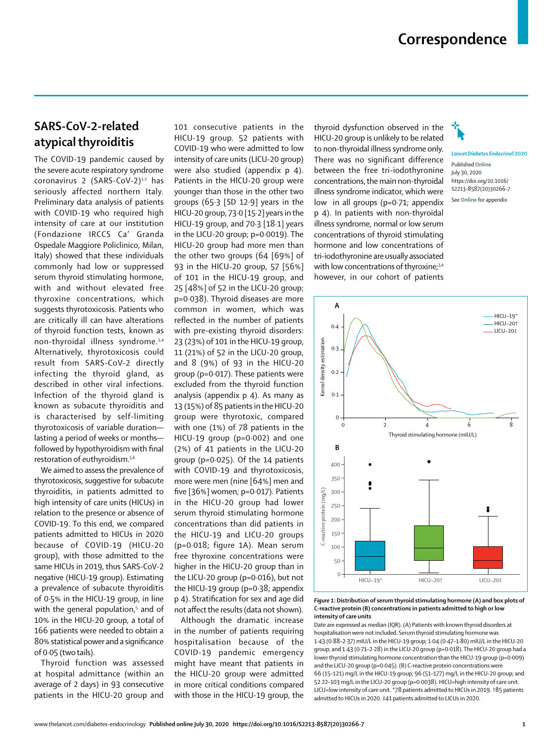## **Correspondence**

## **SARS-CoV-2-related atypical thyroiditis**

The COVID-19 pandemic caused by the severe acute respiratory syndrome coronavirus 2 (SARS-CoV-2)<sup>1,2</sup> has seriously affected northern Italy. Preliminary data analysis of patients with COVID-19 who required high intensity of care at our institution (Fondazione IRCCS Ca' Granda Ospedale Maggiore Policlinico, Milan, Italy) showed that these individuals commonly had low or suppressed serum thyroid stimulating hormone, with and without elevated free thyroxine concentrations, which suggests thyrotoxicosis. Patients who are critically ill can have alterations of thyroid function tests, known as non-thyroidal illness syndrome.3,4 Alternatively, thyrotoxicosis could result from SARS-CoV-2 directly infecting the thyroid gland, as described in other viral infections. Infection of the thyroid gland is known as subacute thyroiditis and is characterised by self-limiting thyrotoxicosis of variable duration lasting a period of weeks or months followed by hypothyroidism with final restoration of euthyroidism.5,6

We aimed to assess the prevalence of thyrotoxicosis, suggestive for subacute thyroiditis, in patients admitted to high intensity of care units (HICUs) in relation to the presence or absence of COVID-19. To this end, we compared patients admitted to HICUs in 2020 because of COVID-19 (HICU-20 group), with those admitted to the same HICUs in 2019, thus SARS-CoV-2 negative (HICU-19 group). Estimating a prevalence of subacute thyroiditis of 0·5% in the HICU-19 group, in line with the general population,<sup>5</sup> and of 10% in the HICU-20 group, a total of 166 patients were needed to obtain a 80% statistical power and a significance of 0·05 (two tails).

Thyroid function was assessed at hospital admittance (within an average of 2 days) in 93 consecutive patients in the HICU-20 group and

101 consecutive patients in the HICU-19 group. 52 patients with COVID-19 who were admitted to low intensity of care units (LICU-20 group) were also studied (appendix p 4). Patients in the HICU-20 group were younger than those in the other two groups (65·3 [SD 12·9] years in the HICU-20 group, 73·0 [15·2] years in the HICU-19 group, and 70·3 [18·1] years in the LICU-20 group; p=0·0019). The HICU-20 group had more men than the other two groups (64 [69%] of 93 in the HICU-20 group, 57 [56%] of 101 in the HICU-19 group, and 25 [48%] of 52 in the LICU-20 group; p=0·038). Thyroid diseases are more common in women, which was reflected in the number of patients with pre-existing thyroid disorders: 23 (23%) of 101 in the HICU-19 group, 11 (21%) of 52 in the LICU-20 group, and 8 (9%) of 93 in the HICU-20 group (p=0·017). These patients were excluded from the thyroid function analysis (appendix p 4). As many as 13 (15%) of 85 patients in the HICU-20 group were thyrotoxic, compared with one (1%) of 78 patients in the HICU-19 group (p=0·002) and one (2%) of 41 patients in the LICU-20 group (p=0·025). Of the 14 patients with COVID-19 and thyrotoxicosis, more were men (nine [64%] men and five [36%] women; p=0·017). Patients in the HICU-20 group had lower serum thyroid stimulating hormone concentrations than did patients in the HICU-19 and LICU-20 groups (p=0·018; figure 1A). Mean serum free thyroxine concentrations were higher in the HICU-20 group than in the LICU-20 group (p=0·016), but not the HICU-19 group (p=0·38; appendix p 4). Stratification for sex and age did not affect the results (data not shown).

Although the dramatic increase in the number of patients requiring hospitalisation because of the COVID-19 pandemic emergency might have meant that patients in the HICU-20 group were admitted in more critical conditions compared with those in the HICU-19 group, the

thyroid dysfunction observed in the HICU-20 group is unlikely to be related to non-thyroidal illness syndrome only. There was no significant difference between the free tri-iodothyronine concentrations, the main non-thyroidal illness syndrome indicator, which were low in all groups (p=0·71; appendix p 4). In patients with non-thyroidal illness syndrome, normal or low serum concentrations of thyroid stimulating hormone and low concentrations of tri-iodothyronine are usually associated with low concentrations of thyroxine;<sup>3,4</sup> however, in our cohort of patients



*Lancet Diabetes Endocrinol* **2020** Published **Online** July 30, 2020 https://doi.org/10.1016/ S2213-8587(20)30266-7 See **Online** for appendix



*Figure 1***: Distribution of serum thyroid stimulating hormone (A) and box plots of C-reactive protein (B) concentrations in patients admitted to high or low intensity of care units** 

Date are expressed as median (IQR). (A) Patients with known thyroid disorders at hospitalisation were not included. Serum thyroid stimulating hormone was 1·43 (0·88–2·37) mIU/L in the HICU-19 group; 1·04 (0·47–1·80) mIU/L in the HICU-20 group; and 1·43 (0·71–2·28) in the LICU-20 group (p=0·018). The HICU-20 group had a lower thyroid stimulating hormone concentration than the HICU-19 group (p=0·009) and the LICU-20 group (p=0·045). (B) C-reactive protein concentrations were 66 (15–121) mg/L in the HICU-19 group; 96 (51–177) mg/L in the HICU-20 group; and 52 22–103 mg/L in the LICU-20 group (p=0·0038). HICU=high intensity of care unit. LICU=low intensity of care unit. \*78 patients admitted to HICUs in 2019. †85 patients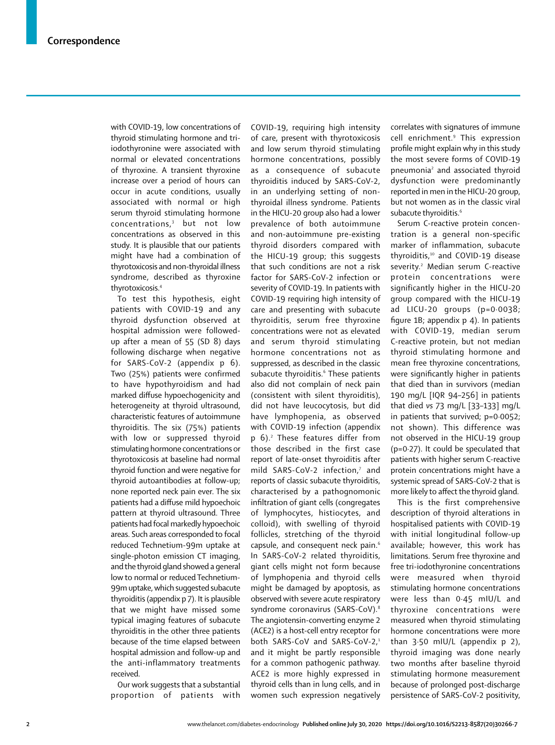with COVID-19, low concentrations of thyroid stimulating hormone and triiodothyronine were associated with normal or elevated concentrations of thyroxine. A transient thyroxine increase over a period of hours can occur in acute conditions, usually associated with normal or high serum thyroid stimulating hormone concentrations,<sup>3</sup> but not low concentrations as observed in this study. It is plausible that our patients might have had a combination of thyrotoxicosis and non-thyroidal illness syndrome, described as thyroxine thyrotoxicosis.4

To test this hypothesis, eight patients with COVID-19 and any thyroid dysfunction observed at hospital admission were followedup after a mean of 55 (SD 8) days following discharge when negative for SARS-CoV-2 (appendix p 6). Two (25%) patients were confirmed to have hypothyroidism and had marked diffuse hypoechogenicity and heterogeneity at thyroid ultrasound, characteristic features of autoimmune thyroiditis. The six (75%) patients with low or suppressed thyroid stimulating hormone concentrations or thyrotoxicosis at baseline had normal thyroid function and were negative for thyroid autoantibodies at follow-up; none reported neck pain ever. The six patients had a diffuse mild hypoechoic pattern at thyroid ultrasound. Three patients had focal markedly hypoechoic areas. Such areas corresponded to focal reduced Technetium-99m uptake at single-photon emission CT imaging, and the thyroid gland showed a general low to normal or reduced Technetium-99m uptake, which suggested subacute thyroiditis (appendix p 7). It is plausible that we might have missed some typical imaging features of subacute thyroiditis in the other three patients because of the time elapsed between hospital admission and follow-up and the anti-inflammatory treatments received.

Our work suggests that a substantial proportion of patients with COVID-19, requiring high intensity of care, present with thyrotoxicosis and low serum thyroid stimulating hormone concentrations, possibly as a consequence of subacute thyroiditis induced by SARS-CoV-2, in an underlying setting of nonthyroidal illness syndrome. Patients in the HICU-20 group also had a lower prevalence of both autoimmune and non-autoimmune pre-existing thyroid disorders compared with the HICU-19 group; this suggests that such conditions are not a risk factor for SARS-CoV-2 infection or severity of COVID-19. In patients with COVID-19 requiring high intensity of care and presenting with subacute thyroiditis, serum free thyroxine concentrations were not as elevated and serum thyroid stimulating hormone concentrations not as suppressed, as described in the classic subacute thyroiditis.<sup>6</sup> These patients also did not complain of neck pain (consistent with silent thyroiditis), did not have leucocytosis, but did have lymphopenia, as observed with COVID-19 infection (appendix p 6).<sup>2</sup> These features differ from those described in the first case report of late-onset thyroiditis after mild SARS-CoV-2 infection,7 and reports of classic subacute thyroiditis, characterised by a pathognomonic infiltration of giant cells (congregates of lymphocytes, histiocytes, and colloid), with swelling of thyroid follicles, stretching of the thyroid capsule, and consequent neck pain.<sup>6</sup> In SARS-CoV-2 related thyroiditis, giant cells might not form because of lymphopenia and thyroid cells might be damaged by apoptosis, as observed with severe acute respiratory syndrome coronavirus (SARS-CoV).<sup>8</sup> The angiotensin-converting enzyme 2 (ACE2) is a host-cell entry receptor for both SARS-CoV and SARS-CoV-2,<sup>1</sup> and it might be partly responsible for a common pathogenic pathway. ACE2 is more highly expressed in thyroid cells than in lung cells, and in women such expression negatively

correlates with signatures of immune cell enrichment.9 This expression profile might explain why in this study the most severe forms of COVID-19 pneumonia<sup>2</sup> and associated thyroid dysfunction were predominantly reported in men in the HICU-20 group, but not women as in the classic viral subacute thyroiditis.<sup>6</sup>

Serum C-reactive protein concentration is a general non-specific marker of inflammation, subacute thyroiditis,<sup>10</sup> and COVID-19 disease severity.<sup>2</sup> Median serum C-reactive protein concentrations were significantly higher in the HICU-20 group compared with the HICU-19 ad LICU-20 groups (p=0·0038; figure 1B; appendix p 4). In patients with COVID-19, median serum C-reactive protein, but not median thyroid stimulating hormone and mean free thyroxine concentrations, were significantly higher in patients that died than in survivors (median 190 mg/L [IQR 94–256] in patients that died *vs* 73 mg/L [33–133] mg/L in patients that survived; p=0·0052; not shown). This difference was not observed in the HICU-19 group (p=0·27). It could be speculated that patients with higher serum C-reactive protein concentrations might have a systemic spread of SARS-CoV-2 that is more likely to affect the thyroid gland.

This is the first comprehensive description of thyroid alterations in hospitalised patients with COVID-19 with initial longitudinal follow-up available; however, this work has limitations. Serum free thyroxine and free tri-iodothyronine concentrations were measured when thyroid stimulating hormone concentrations were less than 0·45 mIU/L and thyroxine concentrations were measured when thyroid stimulating hormone concentrations were more than  $3.50$  mIU/L (appendix  $p$  2), thyroid imaging was done nearly two months after baseline thyroid stimulating hormone measurement because of prolonged post-discharge persistence of SARS-CoV-2 positivity,